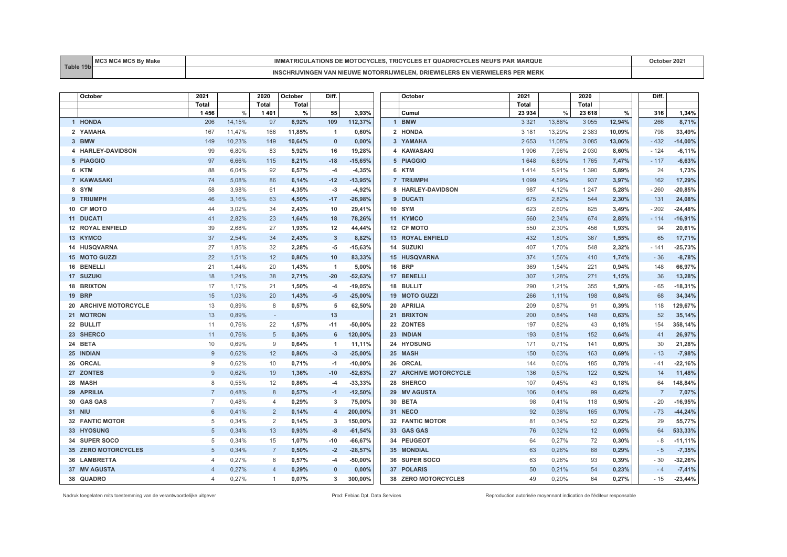| Toble | BA <sub>O</sub><br>IVIL | <b>MOTOCYCLE</b><br>ONS DE "<br>$\mathbf{a}$<br>. .<br>150.1<br>u jini u Tul<br><b>CONCL</b>                | .<br>$\sim$ |
|-------|-------------------------|-------------------------------------------------------------------------------------------------------------|-------------|
|       |                         | ER MERK<br>DRIE<br>⊶ VIE™<br>′INGEN<br>_vvir<br>екэ<br>VIL J I L J F F F I J V V I<br>.<br>: I'W V I I<br>. |             |

|    | October                   | 2021                     |        | 2020           | October | Diff.          |           | October                 | 2021    |        | 2020    |        | Diff.          |           |
|----|---------------------------|--------------------------|--------|----------------|---------|----------------|-----------|-------------------------|---------|--------|---------|--------|----------------|-----------|
|    |                           | Total                    |        | <b>Total</b>   | Total   |                |           |                         | Total   |        | Total   |        |                |           |
|    |                           | 1456                     | %      | 1401           | $\%$    | 55             | 3,93%     | Cumul                   | 23 934  | $\%$   | 23 618  | %      | 316            | 1,34%     |
|    | 1 HONDA                   | 206                      | 14,15% | 97             | 6,92%   | 109            | 112,37%   | 1 BMW                   | 3 3 2 1 | 13,88% | 3 0 5 5 | 12,94% | 266            | 8,71%     |
|    | 2 YAMAHA                  | 167                      | 11,47% | 166            | 11,85%  | $\overline{1}$ | 0,60%     | 2 HONDA                 | 3 1 8 1 | 13,29% | 2 3 8 3 | 10,09% | 798            | 33,49%    |
|    | 3 BMW                     | 149                      | 10.23% | 149            | 10,64%  | $\mathbf{0}$   | 0,00%     | 3 YAMAHA                | 2653    | 11,08% | 3 0 8 5 | 13,06% | $-432$         | $-14,00%$ |
|    | 4 HARLEY-DAVIDSON         | 99                       | 6,80%  | 83             | 5,92%   | 16             | 19,28%    | 4 KAWASAKI              | 1906    | 7,96%  | 2 0 3 0 | 8,60%  | $-124$         | $-6,11%$  |
|    | 5 PIAGGIO                 | 97                       | 6,66%  | 115            | 8,21%   | $-18$          | $-15,65%$ | 5 PIAGGIO               | 1648    | 6,89%  | 1765    | 7,47%  | $-117$         | $-6,63%$  |
|    | 6 KTM                     | 88                       | 6,04%  | 92             | 6,57%   | -4             | $-4,35%$  | 6 KTM                   | 1414    | 5,91%  | 1 3 9 0 | 5,89%  | 24             | 1,73%     |
|    | 7 KAWASAKI                | 74                       | 5,08%  | 86             | 6,14%   | $-12$          | $-13,95%$ | 7 TRIUMPH               | 1 0 9 9 | 4,59%  | 937     | 3,97%  | 162            | 17,29%    |
|    | 8 SYM                     | 58                       | 3,98%  | 61             | 4,35%   | $-3$           | $-4,92%$  | 8 HARLEY-DAVIDSON       | 987     | 4,12%  | 1 2 4 7 | 5,28%  | $-260$         | $-20,85%$ |
|    | 9 TRIUMPH                 | 46                       | 3.16%  | 63             | 4,50%   | $-17$          | $-26,98%$ | 9 DUCATI                | 675     | 2.82%  | 544     | 2,30%  | 131            | 24,08%    |
|    | 10 CF MOTO                | 44                       | 3,02%  | 34             | 2,43%   | 10             | 29,41%    | <b>10 SYM</b>           | 623     | 2,60%  | 825     | 3,49%  | $-202$         | $-24,48%$ |
|    | 11 DUCATI                 | 41                       | 2,82%  | 23             | 1,64%   | 18             | 78,26%    | 11 KYMCO                | 560     | 2,34%  | 674     | 2,85%  | $-114$         | $-16,91%$ |
|    | <b>12 ROYAL ENFIELD</b>   | 39                       | 2,68%  | 27             | 1,93%   | 12             | 44,44%    | 12 CF MOTO              | 550     | 2,30%  | 456     | 1,93%  | 94             | 20,61%    |
|    | 13 KYMCO                  | 37                       | 2,54%  | 34             | 2,43%   | $\mathbf{3}$   | 8,82%     | <b>13 ROYAL ENFIELD</b> | 432     | 1,80%  | 367     | 1,55%  | 65             | 17,71%    |
|    | <b>14 HUSQVARNA</b>       | 27                       | 1,85%  | 32             | 2,28%   | -5             | $-15,63%$ | 14 SUZUKI               | 407     | 1,70%  | 548     | 2,32%  | $-141$         | $-25,73%$ |
|    | 15 MOTO GUZZI             | 22                       | 1.51%  | 12             | 0.86%   | 10             | 83,33%    | <b>15 HUSQVARNA</b>     | 374     | 1.56%  | 410     | 1,74%  | $-36$          | $-8,78%$  |
|    | 16 BENELLI                | 21                       | 1,44%  | 20             | 1,43%   | $\overline{1}$ | 5,00%     | <b>16 BRP</b>           | 369     | 1,54%  | 221     | 0,94%  | 148            | 66,97%    |
|    | 17 SUZUKI                 | 18                       | 1,24%  | 38             | 2,71%   | $-20$          | $-52,63%$ | 17 BENELLI              | 307     | 1,28%  | 271     | 1,15%  | 36             | 13,28%    |
| 18 | <b>BRIXTON</b>            | 17                       | 1,17%  | 21             | 1,50%   | -4             | $-19,05%$ | 18 BULLIT               | 290     | 1,21%  | 355     | 1,50%  | $-65$          | $-18,31%$ |
| 19 | <b>BRP</b>                | 15                       | 1,03%  | 20             | 1,43%   | -5             | $-25,00%$ | 19 MOTO GUZZI           | 266     | 1,11%  | 198     | 0,84%  | 68             | 34,34%    |
| 20 | <b>ARCHIVE MOTORCYCLE</b> | 13                       | 0,89%  | 8              | 0,57%   | 5              | 62,50%    | 20 APRILIA              | 209     | 0,87%  | 91      | 0,39%  | 118            | 129,67%   |
|    | 21 MOTRON                 | 13                       | 0.89%  | $\sim$         |         | 13             |           | 21 BRIXTON              | 200     | 0,84%  | 148     | 0,63%  | 52             | 35,14%    |
|    | 22 BULLIT                 | 11                       | 0,76%  | 22             | 1,57%   | $-11$          | $-50,00%$ | 22 ZONTES               | 197     | 0,82%  | 43      | 0,18%  | 154            | 358,14%   |
|    | 23 SHERCO                 | 11                       | 0,76%  | 5              | 0,36%   | 6              | 120,00%   | 23 INDIAN               | 193     | 0,81%  | 152     | 0,64%  | 41             | 26,97%    |
|    | 24 BETA                   | 10                       | 0,69%  | 9              | 0,64%   | $\overline{1}$ | 11,11%    | 24 HYOSUNG              | 171     | 0,71%  | 141     | 0,60%  | 30             | 21,28%    |
|    | 25 INDIAN                 | 9                        | 0,62%  | 12             | 0,86%   | $-3$           | $-25,00%$ | 25 MASH                 | 150     | 0,63%  | 163     | 0,69%  | $-13$          | $-7,98%$  |
|    | 26 ORCAL                  | 9                        | 0,62%  | 10             | 0,71%   | $-1$           | $-10,00%$ | 26 ORCAL                | 144     | 0,60%  | 185     | 0,78%  | $-41$          | $-22,16%$ |
|    | 27 ZONTES                 | 9                        | 0.62%  | 19             | 1,36%   | $-10$          | $-52,63%$ | 27 ARCHIVE MOTORCYCLE   | 136     | 0.57%  | 122     | 0,52%  | 14             | 11,48%    |
|    | 28 MASH                   | 8                        | 0.55%  | 12             | 0,86%   | $-4$           | $-33,33%$ | 28 SHERCO               | 107     | 0,45%  | 43      | 0,18%  | 64             | 148,84%   |
|    | 29 APRILIA                | $\overline{7}$           | 0,48%  | 8              | 0,57%   | $-1$           | $-12,50%$ | 29 MV AGUSTA            | 106     | 0,44%  | 99      | 0,42%  | $\overline{7}$ | 7,07%     |
|    | 30 GAS GAS                | $\overline{7}$           | 0,48%  | $\overline{4}$ | 0,29%   | 3              | 75,00%    | 30 BETA                 | 98      | 0,41%  | 118     | 0,50%  | $-20$          | $-16,95%$ |
|    | <b>31 NIU</b>             | 6                        | 0,41%  | $\overline{2}$ | 0,14%   | $\overline{4}$ | 200,00%   | 31 NECO                 | 92      | 0,38%  | 165     | 0,70%  | $-73$          | $-44,24%$ |
|    | <b>32 FANTIC MOTOR</b>    | 5                        | 0.34%  | $\overline{2}$ | 0,14%   | 3              | 150,00%   | <b>32 FANTIC MOTOR</b>  | 81      | 0,34%  | 52      | 0,22%  | 29             | 55,77%    |
|    | 33 HYOSUNG                | $5\overline{5}$          | 0.34%  | 13             | 0.93%   | -8             | $-61,54%$ | 33 GAS GAS              | 76      | 0.32%  | 12      | 0,05%  | 64             | 533,33%   |
|    | 34 SUPER SOCO             | 5                        | 0.34%  | 15             | 1,07%   | $-10$          | $-66,67%$ | 34 PEUGEOT              | 64      | 0,27%  | 72      | 0,30%  | - 8            | $-11,11%$ |
|    | 35 ZERO MOTORCYCLES       | 5                        | 0,34%  | $\overline{7}$ | 0,50%   | $-2$           | $-28,57%$ | <b>35 MONDIAL</b>       | 63      | 0,26%  | 68      | 0,29%  | - 5            | $-7,35%$  |
|    | 36 LAMBRETTA              | 4                        | 0,27%  | 8              | 0,57%   | -4             | $-50,00%$ | 36 SUPER SOCO           | 63      | 0,26%  | 93      | 0,39%  | $-30$          | $-32,26%$ |
|    | 37 MV AGUSTA              |                          | 0,27%  | $\overline{4}$ | 0,29%   | $\mathbf{0}$   | 0,00%     | 37 POLARIS              | 50      | 0,21%  | 54      | 0,23%  | $-4$           | $-7,41%$  |
|    | 38 QUADRO                 | $\overline{\mathcal{A}}$ | 0.27%  | -1             | 0.07%   | 3              | 300,00%   | 38 ZERO MOTORCYCLES     | 49      | 0.20%  | 64      | 0,27%  | $-15$          | $-23,44%$ |

Nadruk toegelaten mits toestemming van de verantwoordelijke uitgever entered enter enter enter a metaleur enter autorisée Prod: Febiac Dpt. Data Services Reproduction autorisée moyennant indication de l'éditeur responsable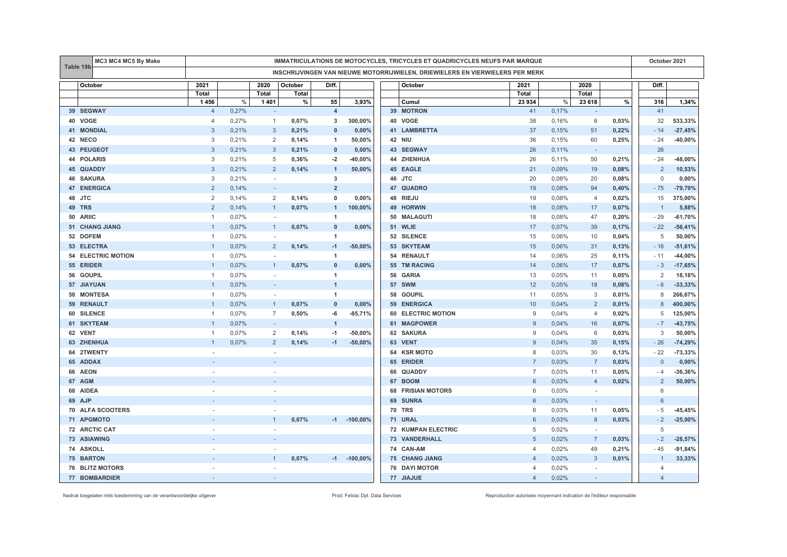|    | MC3 MC4 MC5 By Make<br>IMMATRICULATIONS DE MOTOCYCLES, TRICYCLES ET QUADRICYCLES NEUFS PAR MARQUE<br>Table 19b |                |       |                          |         |                |                  |  |                           |                | October 2021 |                          |       |                |           |
|----|----------------------------------------------------------------------------------------------------------------|----------------|-------|--------------------------|---------|----------------|------------------|--|---------------------------|----------------|--------------|--------------------------|-------|----------------|-----------|
|    | INSCHRIJVINGEN VAN NIEUWE MOTORRIJWIELEN, DRIEWIELERS EN VIERWIELERS PER MERK                                  |                |       |                          |         |                |                  |  |                           |                |              |                          |       |                |           |
|    | October                                                                                                        | 2021           |       | 2020                     | October | Diff.          |                  |  | October                   | 2021           |              | 2020                     |       | Diff.          |           |
|    |                                                                                                                | Total          |       | Total                    | Total   |                |                  |  |                           | Total          |              | Total                    |       |                |           |
|    |                                                                                                                | 1456           | %     | 1401                     | %       | 55             | 3,93%            |  | Cumul                     | 23 934         | $\%$         | 23 618                   | $\%$  | 316            | 1,34%     |
|    | 39 SEGWAY                                                                                                      | $\overline{4}$ | 0,27% |                          |         | $\overline{4}$ |                  |  | 39 MOTRON                 | 41             | 0,17%        |                          |       | 41             |           |
|    | 40 VOGE                                                                                                        | $\overline{4}$ | 0,27% | $\mathbf{1}$             | 0,07%   | 3              | 300,00%          |  | 40 VOGE                   | 38             | 0,16%        | 6                        | 0,03% | 32             | 533,33%   |
| 41 | <b>MONDIAL</b>                                                                                                 | $\mathcal{R}$  | 0,21% | 3                        | 0,21%   | $\mathbf{0}$   | 0,00%            |  | 41 LAMBRETTA              | 37             | 0,15%        | 51                       | 0,22% | $-14$          | $-27,45%$ |
| 42 | <b>NECO</b>                                                                                                    | 3              | 0,21% | 2                        | 0,14%   | 1              | 50,00%           |  | 42 NIU                    | 36             | 0,15%        | 60                       | 0,25% | $-24$          | $-40,00%$ |
|    | 43 PEUGEOT                                                                                                     | 3              | 0,21% | 3                        | 0,21%   | $\mathbf{0}$   | 0,00%            |  | 43 SEGWAY                 | 26             | 0,11%        | $\sim$                   |       | 26             |           |
|    | 44 POLARIS                                                                                                     | 3              | 0,21% | 5                        | 0,36%   | -2             | $-40,00\%$       |  | 44 ZHENHUA                | 26             | 0,11%        | 50                       | 0,21% | $-24$          | $-48,00%$ |
|    | 45 QUADDY                                                                                                      | 3              | 0,21% | $\overline{2}$           | 0,14%   | $\overline{1}$ | 50,00%           |  | 45 EAGLE                  | 21             | 0,09%        | 19                       | 0,08% | $\overline{2}$ | 10,53%    |
|    | <b>46 SAKURA</b>                                                                                               | 3              | 0.21% |                          |         | 3              |                  |  | 46 JTC                    | 20             | 0.08%        | 20                       | 0,08% | $\mathbf 0$    | 0,00%     |
| 47 | <b>ENERGICA</b>                                                                                                | $\overline{2}$ | 0,14% | $\sim$                   |         | $\overline{2}$ |                  |  | 47 QUADRO                 | 19             | 0,08%        | 94                       | 0,40% | $-75$          | $-79,79%$ |
| 48 | <b>JTC</b>                                                                                                     | $\overline{2}$ | 0,14% | $\overline{2}$           | 0,14%   | 0              | 0,00%            |  | 48 RIEJU                  | 19             | 0,08%        | 4                        | 0,02% | 15             | 375,00%   |
| 49 | <b>TRS</b>                                                                                                     | $\overline{2}$ | 0,14% | $\mathbf{1}$             | 0,07%   | $\mathbf{1}$   | 100,00%          |  | 49 HORWIN                 | 18             | 0.08%        | 17                       | 0,07% | $\overline{1}$ | 5,88%     |
|    | 50 ARIIC                                                                                                       | -1             | 0,07% | $\overline{\phantom{a}}$ |         | 1              |                  |  | 50 MALAGUTI               | 18             | 0,08%        | 47                       | 0,20% | $-29$          | $-61,70%$ |
|    | <b>51 CHANG JIANG</b>                                                                                          | $\overline{1}$ | 0,07% | $\mathbf{1}$             | 0,07%   | $\mathbf{0}$   | 0,00%            |  | 51 WLIE                   | 17             | 0,07%        | 39                       | 0,17% | $-22$          | $-56,41%$ |
|    | 52 DOFEM                                                                                                       | $\overline{1}$ | 0,07% |                          |         | 1              |                  |  | 52 SILENCE                | 15             | 0,06%        | 10                       | 0,04% | 5              | 50,00%    |
|    | 53 ELECTRA                                                                                                     |                | 0,07% | $\overline{2}$           | 0,14%   | $-1$           | $-50,00%$        |  | 53 SKYTEAM                | 15             | 0,06%        | 31                       | 0,13% | $-16$          | $-51,61%$ |
| 54 | <b>ELECTRIC MOTION</b>                                                                                         | $\overline{1}$ | 0,07% | $\sim$                   |         | 1              |                  |  | 54 RENAULT                | 14             | 0,06%        | 25                       | 0,11% | $-11$          | $-44,00%$ |
| 55 | <b>ERIDER</b>                                                                                                  | $\overline{1}$ | 0,07% | $\mathbf{1}$             | 0,07%   | $\mathbf{0}$   | 0,00%            |  | 55 TM RACING              | 14             | 0,06%        | 17                       | 0,07% | $-3$           | $-17,65%$ |
|    | 56 GOUPIL                                                                                                      | $\overline{1}$ | 0,07% | $\sim$                   |         | 1              |                  |  | 56 GARIA                  | 13             | 0,05%        | 11                       | 0,05% | $\overline{c}$ | 18,18%    |
| 57 | <b>JIAYUAN</b>                                                                                                 | $\overline{1}$ | 0,07% | $\sim$                   |         | $\mathbf{1}$   |                  |  | 57 SWM                    | 12             | 0,05%        | 18                       | 0,08% | $-6$           | $-33,33%$ |
| 58 | <b>MONTESA</b>                                                                                                 | $\overline{1}$ | 0,07% |                          |         | 1              |                  |  | 58 GOUPIL                 | 11             | 0,05%        | 3                        | 0,01% | 8              | 266,67%   |
|    | 59 RENAULT                                                                                                     |                | 0,07% | $\mathbf{1}$             | 0,07%   | $\mathbf{0}$   | 0,00%            |  | 59 ENERGICA               | 10             | 0,04%        | $\overline{2}$           | 0,01% | 8              | 400,00%   |
|    | 60 SILENCE                                                                                                     | -1             | 0,07% | $\overline{7}$           | 0,50%   | -6             | $-85,71%$        |  | 60 ELECTRIC MOTION        | 9              | 0,04%        | $\overline{4}$           | 0,02% | 5              | 125,00%   |
|    | 61 SKYTEAM                                                                                                     |                | 0,07% |                          |         | $\mathbf{1}$   |                  |  | 61 MAGPOWER               | 9              | 0,04%        | 16                       | 0,07% | $-7$           | $-43,75%$ |
|    | 62 VENT                                                                                                        | $\overline{1}$ | 0,07% | 2                        | 0,14%   | $-1$           | $-50,00\%$       |  | 62 SAKURA                 | 9              | 0,04%        | 6                        | 0,03% | 3              | 50,00%    |
|    | 63 ZHENHUA                                                                                                     |                | 0,07% | $\overline{2}$           | 0,14%   | $-1$           | $-50,00%$        |  | 63 VENT                   | 9              | 0,04%        | 35                       | 0,15% | $-26$          | $-74,29%$ |
|    | 64 2TWENTY                                                                                                     |                |       |                          |         |                |                  |  | 64 KSR MOTO               | 8              | 0,03%        | 30                       | 0,13% | $-22$          | $-73,33%$ |
|    | 65 ADDAX                                                                                                       |                |       |                          |         |                |                  |  | 65 ERIDER                 | $\overline{7}$ | 0,03%        | $\overline{7}$           | 0,03% | $\mathbf{0}$   | 0,00%     |
|    | 66 AEON                                                                                                        |                |       |                          |         |                |                  |  | 66 QUADDY                 | $\overline{7}$ | 0,03%        | 11                       | 0,05% | $-4$           | $-36,36%$ |
|    | 67 AGM                                                                                                         |                |       |                          |         |                |                  |  | 67 BOOM                   | 6              | 0,03%        | $\overline{4}$           | 0,02% | $\overline{2}$ | 50,00%    |
|    | 68 AIDEA                                                                                                       |                |       |                          |         |                |                  |  | <b>68 FRISIAN MOTORS</b>  | 6              | 0,03%        | $\overline{\phantom{a}}$ |       | 6              |           |
|    | 69 AJP                                                                                                         |                |       |                          |         |                |                  |  | 69 SUNRA                  | 6              | 0,03%        | $\sim$                   |       | 6              |           |
|    | 70 ALFA SCOOTERS                                                                                               |                |       |                          |         |                |                  |  | <b>70 TRS</b>             | 6              | 0,03%        | 11                       | 0,05% | - 5            | $-45,45%$ |
|    | 71 APGMOTO                                                                                                     |                |       | $\mathbf{1}$             | 0,07%   | $-1$           | $-100,00\%$      |  | 71 URAL                   | 6              | 0,03%        | 8                        | 0,03% | $-2$           | $-25,00%$ |
|    | 72 ARCTIC CAT                                                                                                  |                |       |                          |         |                |                  |  | <b>72 KUMPAN ELECTRIC</b> | 5              | 0,02%        | $\sim$                   |       | 5              |           |
|    | 73 ASIAWING                                                                                                    |                |       |                          |         |                |                  |  | 73 VANDERHALL             | 5              | 0,02%        | $\overline{7}$           | 0,03% | $-2$           | $-28,57%$ |
|    | 74 ASKOLL                                                                                                      |                |       |                          |         |                |                  |  | 74 CAN-AM                 | $\overline{4}$ | 0,02%        | 49                       | 0,21% | - 45           | $-91,84%$ |
|    | <b>75 BARTON</b>                                                                                               |                |       | 1                        | 0,07%   |                | $-1$ $-100,00\%$ |  | <b>75 CHANG JIANG</b>     | $\overline{4}$ | 0,02%        | 3                        | 0,01% | 1              | 33,33%    |
|    | <b>76 BLITZ MOTORS</b>                                                                                         |                |       |                          |         |                |                  |  | 76 DAYI MOTOR             | $\overline{4}$ | 0,02%        |                          |       | $\overline{4}$ |           |
|    | 77 BOMBARDIER                                                                                                  |                |       |                          |         |                |                  |  | 77 JIAJUE                 | $\overline{4}$ | 0,02%        | $\sim$                   |       | $\overline{4}$ |           |

Nadruk toegelaten mits toestemming van de verantwoordelijke uitgever entered enter enter enter a metaleur enter autorisée Prod: Febiac Dpt. Data Services Reproduction autorisée moyennant indication de l'éditeur responsable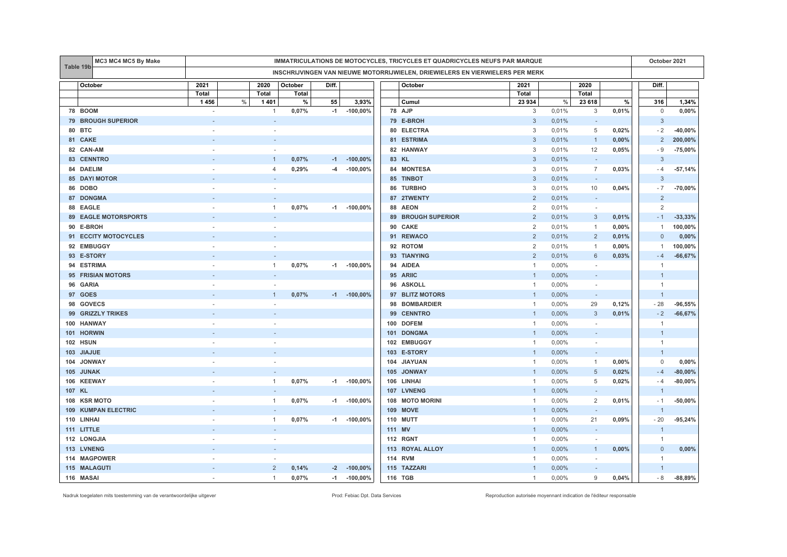|                                | MC3 MC4 MC5 By Make<br>IMMATRICULATIONS DE MOTOCYCLES, TRICYCLES ET QUADRICYCLES NEUFS PAR MARQUE<br>Table 19b |              |                          |         |       |                  |        |                                                                               |                |       | October 2021             |       |                |           |
|--------------------------------|----------------------------------------------------------------------------------------------------------------|--------------|--------------------------|---------|-------|------------------|--------|-------------------------------------------------------------------------------|----------------|-------|--------------------------|-------|----------------|-----------|
|                                |                                                                                                                |              |                          |         |       |                  |        | INSCHRIJVINGEN VAN NIEUWE MOTORRIJWIELEN, DRIEWIELERS EN VIERWIELERS PER MERK |                |       |                          |       |                |           |
| October                        |                                                                                                                | 2021         | 2020                     | October | Diff. |                  |        | October                                                                       | 2021           |       | 2020                     |       | Diff.          |           |
|                                |                                                                                                                | <b>Total</b> | <b>Total</b>             | Total   |       |                  |        |                                                                               | <b>Total</b>   |       | <b>Total</b>             |       |                |           |
|                                |                                                                                                                | 1456         | %<br>1401                | $\%$    | 55    | 3,93%            |        | Cumul                                                                         | 23 934         | %     | 23 618                   | $\%$  | 316            | 1,34%     |
| 78 BOOM                        |                                                                                                                |              | $\overline{1}$           | 0,07%   | $-1$  | $-100,00%$       |        | 78 AJP                                                                        | 3              | 0,01% | 3                        | 0,01% | $\mathbf 0$    | 0,00%     |
| 79 BROUGH SUPERIOR             |                                                                                                                |              |                          |         |       |                  |        | 79 E-BROH                                                                     | 3              | 0,01% | $\sim$                   |       | $\mathbf{3}$   |           |
| 80 BTC                         |                                                                                                                |              |                          |         |       |                  |        | 80 ELECTRA                                                                    | 3              | 0,01% | 5                        | 0,02% | $-2$           | $-40,00%$ |
| 81 CAKE                        |                                                                                                                |              |                          |         |       |                  |        | 81 ESTRIMA                                                                    | 3              | 0,01% | $\overline{1}$           | 0,00% | 2              | 200,00%   |
| 82 CAN-AM                      |                                                                                                                |              |                          |         |       |                  |        | 82 HANWAY                                                                     | 3              | 0,01% | 12                       | 0,05% | - 9            | $-75,00%$ |
| 83 CENNTRO                     |                                                                                                                |              | $\overline{1}$           | 0,07%   | $-1$  | $-100,00%$       |        | 83 KL                                                                         | 3              | 0,01% | $\sim$                   |       | $\mathbf{3}$   |           |
| 84 DAELIM                      |                                                                                                                |              | $\overline{4}$           | 0,29%   | -4    | $-100,00\%$      |        | 84 MONTESA                                                                    | 3              | 0,01% | $\overline{7}$           | 0,03% | $-4$           | $-57,14%$ |
| <b>85 DAYI MOTOR</b>           |                                                                                                                |              |                          |         |       |                  |        | 85 TINBOT                                                                     | 3              | 0,01% | $\sim$                   |       | $\mathbf{3}$   |           |
| 86 DOBO                        |                                                                                                                |              | $\sim$                   |         |       |                  |        | 86 TURBHO                                                                     | 3              | 0,01% | 10                       | 0,04% | $-7$           | $-70,00%$ |
| 87 DONGMA                      |                                                                                                                |              | $\overline{a}$           |         |       |                  |        | 87 2TWENTY                                                                    | $\overline{2}$ | 0,01% | $\sim$                   |       | $\overline{2}$ |           |
| 88 EAGLE                       |                                                                                                                |              | $\mathbf{1}$             | 0,07%   | -1    | $-100,00%$       |        | 88 AEON                                                                       | 2              | 0,01% | $\overline{\phantom{a}}$ |       | 2              |           |
| <b>EAGLE MOTORSPORTS</b><br>89 |                                                                                                                |              |                          |         |       |                  |        | 89 BROUGH SUPERIOR                                                            | $\overline{2}$ | 0,01% | 3                        | 0,01% | $-1$           | $-33,33%$ |
| 90 E-BROH                      |                                                                                                                |              |                          |         |       |                  |        | 90 CAKE                                                                       | 2              | 0,01% | $\mathbf{1}$             | 0,00% | 1              | 100,00%   |
| 91 ECCITY MOTOCYCLES           |                                                                                                                |              |                          |         |       |                  |        | 91 REWACO                                                                     | $\overline{2}$ | 0,01% | $\overline{2}$           | 0,01% | $\mathbf{0}$   | 0,00%     |
| 92 EMBUGGY                     |                                                                                                                |              |                          |         |       |                  |        | 92 ROTOM                                                                      | 2              | 0,01% | $\mathbf{1}$             | 0,00% | $\mathbf{1}$   | 100,00%   |
| 93 E-STORY                     |                                                                                                                |              | $\overline{a}$           |         |       |                  |        | 93 TIANYING                                                                   | 2              | 0,01% | 6                        | 0,03% | $-4$           | $-66,67%$ |
| 94 ESTRIMA                     |                                                                                                                |              | $\mathbf{1}$             | 0,07%   | $-1$  | $-100,00\%$      |        | 94 AIDEA                                                                      | $\overline{1}$ | 0,00% | $\sim$                   |       | $\mathbf{1}$   |           |
| 95 FRISIAN MOTORS              |                                                                                                                |              |                          |         |       |                  |        | 95 ARIIC                                                                      | $\overline{1}$ | 0,00% | $\overline{\phantom{a}}$ |       |                |           |
| 96 GARIA                       |                                                                                                                |              |                          |         |       |                  |        | 96 ASKOLL                                                                     | $\overline{1}$ | 0,00% | $\overline{a}$           |       | -1             |           |
| 97 GOES                        |                                                                                                                |              | $\overline{1}$           | 0,07%   |       | $-1$ $-100,00\%$ |        | 97 BLITZ MOTORS                                                               | $\mathbf{1}$   | 0,00% | $\overline{\phantom{a}}$ |       | $\mathbf{1}$   |           |
| 98 GOVECS                      |                                                                                                                |              | ä,                       |         |       |                  |        | 98 BOMBARDIER                                                                 | $\overline{1}$ | 0,00% | 29                       | 0,12% | $-28$          | $-96,55%$ |
| <b>GRIZZLY TRIKES</b><br>99    |                                                                                                                |              |                          |         |       |                  |        | 99 CENNTRO                                                                    | $\overline{1}$ | 0,00% | 3                        | 0,01% | $-2$           | $-66,67%$ |
| <b>HANWAY</b><br>100           |                                                                                                                |              |                          |         |       |                  |        | 100 DOFEM                                                                     | $\overline{1}$ | 0,00% | $\overline{\phantom{a}}$ |       | -1             |           |
| 101 HORWIN                     |                                                                                                                |              |                          |         |       |                  |        | 101 DONGMA                                                                    | $\overline{1}$ | 0,00% | $\sim$                   |       |                |           |
| <b>102 HSUN</b>                |                                                                                                                |              |                          |         |       |                  |        | 102 EMBUGGY                                                                   | $\overline{1}$ | 0,00% | $\overline{a}$           |       | $\mathbf{1}$   |           |
| 103 JIAJUE                     |                                                                                                                |              |                          |         |       |                  |        | 103 E-STORY                                                                   | $\overline{1}$ | 0,00% |                          |       | $\mathbf{1}$   |           |
| 104 JONWAY                     |                                                                                                                |              | ÷.                       |         |       |                  |        | 104 JIAYUAN                                                                   | $\overline{1}$ | 0,00% | $\mathbf{1}$             | 0,00% | $\mathbf 0$    | 0,00%     |
| 105 JUNAK                      |                                                                                                                |              |                          |         |       |                  |        | 105 JONWAY                                                                    | $\overline{1}$ | 0,00% | 5                        | 0,02% | $-4$           | $-80,00%$ |
| 106 KEEWAY                     |                                                                                                                |              | $\mathbf{1}$             | 0,07%   | $-1$  | $-100,00%$       |        | 106 LINHAI                                                                    | $\overline{1}$ | 0,00% | 5                        | 0,02% | $-4$           | $-80,00%$ |
| 107 KL                         |                                                                                                                |              | $\overline{\phantom{a}}$ |         |       |                  |        | 107 LVNENG                                                                    | $\overline{1}$ | 0,00% | $\sim$                   |       | -1             |           |
| 108 KSR MOTO                   |                                                                                                                |              | 1                        | 0,07%   | $-1$  | $-100,00%$       |        | 108 MOTO MORINI                                                               | $\overline{1}$ | 0,00% | 2                        | 0,01% | $-1$           | $-50,00%$ |
| <b>109 KUMPAN ELECTRIC</b>     |                                                                                                                |              |                          |         |       |                  |        | <b>109 MOVE</b>                                                               | $\overline{1}$ | 0,00% | $\overline{\phantom{a}}$ |       | $\overline{1}$ |           |
| 110 LINHAI                     |                                                                                                                |              | 1                        | 0,07%   | $-1$  | $-100,00\%$      |        | <b>110 MUTT</b>                                                               | $\overline{1}$ | 0,00% | 21                       | 0,09% | $-20$          | $-95,24%$ |
| 111 LITTLE                     |                                                                                                                |              | $\overline{a}$           |         |       |                  | 111 MV |                                                                               | $\mathbf{1}$   | 0,00% | $\sim$                   |       | -1             |           |
| 112 LONGJIA                    |                                                                                                                |              | $\overline{a}$           |         |       |                  |        | <b>112 RGNT</b>                                                               | $\mathbf{1}$   | 0,00% | $\sim$                   |       | $\mathbf{1}$   |           |
| 113 LVNENG                     |                                                                                                                |              |                          |         |       |                  |        | 113 ROYAL ALLOY                                                               | $\overline{1}$ | 0,00% | $\mathbf{1}$             | 0,00% | $\mathbf{0}$   | 0,00%     |
| 114 MAGPOWER                   |                                                                                                                |              |                          |         |       |                  |        | <b>114 RVM</b>                                                                | $\overline{1}$ | 0,00% | $\overline{\phantom{a}}$ |       | $\mathbf{1}$   |           |
| 115 MALAGUTI                   |                                                                                                                |              | 2                        | 0,14%   | $-2$  | $-100,00\%$      |        | 115 TAZZARI                                                                   | $\mathbf{1}$   | 0,00% | $\sim$                   |       | $\mathbf{1}$   |           |
| 116 MASAI                      |                                                                                                                |              | 1                        | 0,07%   | $-1$  | $-100,00%$       |        | 116 TGB                                                                       | $\overline{1}$ | 0,00% | 9                        | 0,04% | - 8            | $-88,89%$ |
|                                |                                                                                                                |              |                          |         |       |                  |        |                                                                               |                |       |                          |       |                |           |

Nadruk toegelaten mits toestemming van de verantwoordelijke uitgever entered enter enter enter a metaleur enter autorisée Prod: Febiac Dpt. Data Services Reproduction autorisée moyennant indication de l'éditeur responsable